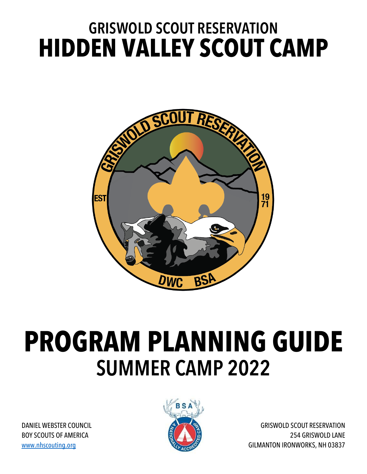## **GRISWOLD SCOUT RESERVATION HIDDEN VALLEY SCOUT CAMP**



# **PROGRAM PLANNING GUIDE SUMMER CAMP 2022**

DANIEL WEBSTER COUNCIL BOY SCOUTS OF AMERICA www.nhscouting.org



GRISWOLD SCOUT RESERVATION 254 GRISWOLD LANE GILMANTON IRONWORKS, NH 03837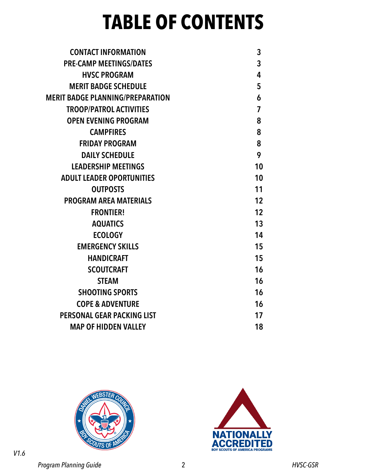## **TABLE OF CONTENTS**

| 3              |
|----------------|
| $\mathbf{3}$   |
| 4              |
| 5              |
| 6              |
| $\overline{7}$ |
| 8              |
| 8              |
| 8              |
| 9              |
| 10             |
| 10             |
| 11             |
| 12             |
| 12             |
| 13             |
| 14             |
| 15             |
| 15             |
| 16             |
| 16             |
| 16             |
| 16             |
| 17             |
| 18             |
|                |





*Program Planning Guide* 2 *HVSC-GSR*

*V1.6*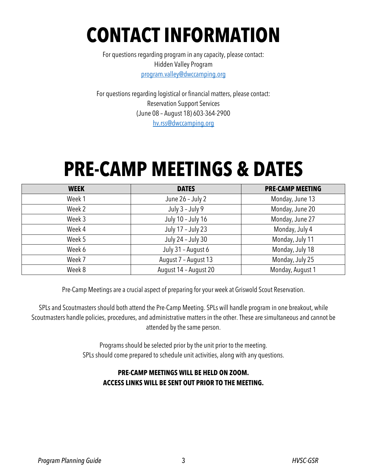## **CONTACT INFORMATION**

For questions regarding program in any capacity, please contact: Hidden Valley Program program.valley@dwccamping.org

For questions regarding logistical or financial matters, please contact: Reservation Support Services (June 08 – August 18) 603-364-2900 hv.rss@dwccamping.org

## **PRE-CAMP MEETINGS & DATES**

| <b>WEEK</b> | <b>DATES</b>          | <b>PRE-CAMP MEETING</b> |
|-------------|-----------------------|-------------------------|
| Week 1      | June 26 - July 2      | Monday, June 13         |
| Week 2      | July 3 - July 9       | Monday, June 20         |
| Week 3      | July 10 - July 16     | Monday, June 27         |
| Week 4      | July 17 - July 23     | Monday, July 4          |
| Week 5      | July 24 - July 30     | Monday, July 11         |
| Week 6      | July 31 - August 6    | Monday, July 18         |
| Week 7      | August 7 - August 13  | Monday, July 25         |
| Week 8      | August 14 - August 20 | Monday, August 1        |

Pre-Camp Meetings are a crucial aspect of preparing for your week at Griswold Scout Reservation.

SPLs and Scoutmasters should both attend the Pre-Camp Meeting. SPLs will handle program in one breakout, while Scoutmasters handle policies, procedures, and administrative matters in the other. These are simultaneous and cannot be attended by the same person.

> Programs should be selected prior by the unit prior to the meeting. SPLs should come prepared to schedule unit activities, along with any questions.

#### **PRE-CAMP MEETINGS WILL BE HELD ON ZOOM. ACCESS LINKS WILL BE SENT OUT PRIOR TO THE MEETING.**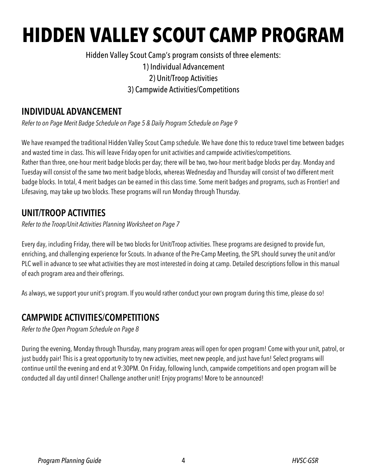# **HIDDEN VALLEY SCOUT CAMP PROGRAM**

Hidden Valley Scout Camp's program consists of three elements:

1) Individual Advancement

2) Unit/Troop Activities

3) Campwide Activities/Competitions

### **INDIVIDUAL ADVANCEMENT**

*Refer to on Page Merit Badge Schedule on Page 5 & Daily Program Schedule on Page 9*

We have revamped the traditional Hidden Valley Scout Camp schedule. We have done this to reduce travel time between badges and wasted time in class. This will leave Friday open for unit activities and campwide activities/competitions. Rather than three, one-hour merit badge blocks per day; there will be two, two-hour merit badge blocks per day. Monday and Tuesday will consist of the same two merit badge blocks, whereas Wednesday and Thursday will consist of two different merit badge blocks. In total, 4 merit badges can be earned in this class time. Some merit badges and programs, such as Frontier! and Lifesaving, may take up two blocks. These programs will run Monday through Thursday.

## **UNIT/TROOP ACTIVITIES**

*Refer to the Troop/Unit Activities Planning Worksheet on Page 7*

Every day, including Friday, there will be two blocks for Unit/Troop activities. These programs are designed to provide fun, enriching, and challenging experience for Scouts. In advance of the Pre-Camp Meeting, the SPL should survey the unit and/or PLC well in advance to see what activities they are most interested in doing at camp. Detailed descriptions follow in this manual of each program area and their offerings.

As always, we support your unit's program. If you would rather conduct your own program during this time, please do so!

## **CAMPWIDE ACTIVITIES/COMPETITIONS**

*Refer to the Open Program Schedule on Page 8*

During the evening, Monday through Thursday, many program areas will open for open program! Come with your unit, patrol, or just buddy pair! This is a great opportunity to try new activities, meet new people, and just have fun! Select programs will continue until the evening and end at 9:30PM. On Friday, following lunch, campwide competitions and open program will be conducted all day until dinner! Challenge another unit! Enjoy programs! More to be announced!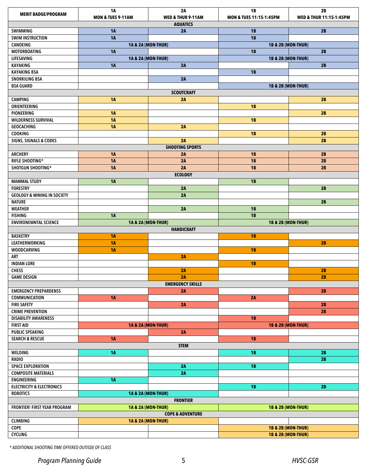| <b>MERIT BADGE/PROGRAM</b>                              | <b>1A</b><br><b>MON &amp; TUES 9-11AM</b>                      | 2A<br>WED & THUR 9-11AM       | <b>1B</b>                          | 2B                            |
|---------------------------------------------------------|----------------------------------------------------------------|-------------------------------|------------------------------------|-------------------------------|
|                                                         |                                                                | <b>AQUATICS</b>               | <b>MON &amp; TUES 11:15-1:45PM</b> | WED & THUR 11:15-1:45PM       |
| SWIMMING                                                | <b>1A</b>                                                      | 2A                            | <b>1B</b>                          | 2B                            |
| <b>SWIM INSTRUCTION</b>                                 | <b>1A</b>                                                      |                               | <b>1B</b>                          |                               |
| CANOEING                                                |                                                                | <b>1A &amp; 2A (MON-THUR)</b> |                                    | <b>1B &amp; 2B (MON-THUR)</b> |
| <b>MOTORBOATING</b>                                     | <b>1A</b>                                                      |                               | 1B<br>2B                           |                               |
| LIFESAVING                                              |                                                                | <b>1A &amp; 2A (MON-THUR)</b> |                                    | <b>1B &amp; 2B (MON-THUR)</b> |
| KAYAKING                                                | <b>1A</b>                                                      | 2A                            |                                    | 2B                            |
| <b>KAYAKING BSA</b>                                     |                                                                |                               | <b>1B</b>                          |                               |
| <b>SNORKILING BSA</b>                                   |                                                                | 2A                            |                                    |                               |
| <b>BSA GUARD</b>                                        |                                                                |                               |                                    | <b>1B &amp; 2B (MON-THUR)</b> |
|                                                         |                                                                | <b>SCOUTCRAFT</b>             |                                    |                               |
| <b>CAMPING</b>                                          | <b>1A</b>                                                      | 2A                            |                                    | 2B                            |
| ORIENTEERING<br><b>PIONEERING</b>                       | <b>1A</b>                                                      |                               | <b>1B</b>                          | 2B                            |
| WILDERNESS SURVIVAL                                     | <b>1A</b>                                                      |                               | <b>1B</b>                          |                               |
| <b>GEOCACHING</b>                                       | <b>1A</b>                                                      | 2A                            |                                    |                               |
| COOKING                                                 |                                                                |                               | <b>1B</b>                          | 2B                            |
| <b>SIGNS, SIGNALS &amp; CODES</b>                       |                                                                | 2A                            |                                    | 2B                            |
|                                                         |                                                                | <b>SHOOTING SPORTS</b>        |                                    |                               |
| <b>ARCHERY</b>                                          | <b>1A</b>                                                      | 2A                            | <b>1B</b>                          | 2B                            |
| RIFLE SHOOTING*                                         | <b>1A</b>                                                      | 2A                            | <b>1B</b>                          | 2B                            |
| SHOTGUN SHOOTING*                                       | <b>1A</b>                                                      | 2A                            | <b>1B</b>                          | 2B                            |
|                                                         |                                                                | <b>ECOLOGY</b>                |                                    |                               |
| <b>MAMMAL STUDY</b>                                     | 1A                                                             |                               | <b>1B</b>                          |                               |
| <b>FORESTRY</b>                                         |                                                                | 2A                            |                                    | 2B                            |
| <b>GEOLOGY &amp; MINING IN SOCIETY</b><br><b>NATURE</b> |                                                                | 2A                            |                                    | 2B                            |
| <b>WEATHER</b>                                          |                                                                | 2A                            | <b>1B</b>                          |                               |
| <b>FISHING</b>                                          | <b>1A</b>                                                      |                               | 1B                                 |                               |
| <b>ENVIRONEMNTAL SCIENCE</b>                            |                                                                | <b>1A &amp; 2A (MON-THUR)</b> |                                    | <b>1B &amp; 2B (MON-THUR)</b> |
|                                                         |                                                                | <b>HANDICRAFT</b>             |                                    |                               |
| <b>BASKETRY</b>                                         | <b>1A</b>                                                      |                               | <b>1B</b>                          |                               |
| <b>LEATHERWORKING</b>                                   | <b>1A</b>                                                      |                               |                                    | 2B                            |
| <b>WOODCARVING</b>                                      | <b>1A</b>                                                      |                               | <b>1B</b>                          |                               |
| ART                                                     |                                                                | 2A                            |                                    |                               |
| <b>INDIAN LORE</b>                                      |                                                                |                               | <b>1B</b>                          |                               |
| <b>CHESS</b>                                            |                                                                | 2A                            |                                    | 2B                            |
| GAME DESIGN                                             |                                                                | 2A                            |                                    | 2B                            |
| <b>EMERGENCY PREPARDENSS</b>                            |                                                                | <b>EMERGENCY SKILLS</b><br>2A |                                    | 2B                            |
| COMMUNICATION                                           | <b>1A</b>                                                      |                               | 2A                                 |                               |
| <b>FIRE SAFETY</b>                                      |                                                                | 2A                            |                                    | 2B                            |
| <b>CRIME PREVENTION</b>                                 |                                                                |                               |                                    | 2B                            |
| <b>DISABILITY AWARENESS</b>                             |                                                                |                               | <b>1B</b>                          |                               |
| <b>FIRST AID</b>                                        |                                                                | <b>1A &amp; 2A (MON-THUR)</b> |                                    | <b>1B &amp; 2B (MON-THUR)</b> |
| <b>PUBLIC SPEAKING</b>                                  |                                                                | 2A                            |                                    |                               |
| <b>SEARCH &amp; RESCUE</b>                              | <b>1A</b>                                                      |                               | <b>1B</b>                          |                               |
|                                                         |                                                                | <b>STEM</b>                   |                                    |                               |
| WELDING                                                 | <b>1A</b>                                                      |                               | <b>1B</b>                          | 2B                            |
| <b>RADIO</b>                                            |                                                                |                               |                                    | 2B                            |
| <b>SPACE EXPLORATION</b>                                |                                                                | 2A<br>2A                      | <b>1B</b>                          |                               |
| <b>COMPOSITE MATERIALS</b><br><b>ENGINEERING</b>        | <b>1A</b>                                                      |                               |                                    |                               |
| <b>ELECTRICITY &amp; ELECTRONICS</b>                    |                                                                |                               | <b>1B</b>                          | 2B                            |
| <b>ROBOTICS</b>                                         |                                                                | <b>1A &amp; 2A (MON-THUR)</b> |                                    |                               |
|                                                         |                                                                | <b>FRONTIER</b>               |                                    |                               |
| <b>FRONTIER! FIRST YEAR PROGRAM</b>                     | <b>1A &amp; 2A (MON-THUR)</b><br><b>1B &amp; 2B (MON-THUR)</b> |                               |                                    |                               |
|                                                         |                                                                | <b>COPE &amp; ADVENTURE</b>   |                                    |                               |
| <b>CLIMBING</b>                                         | <b>1A &amp; 2A (MON-THUR)</b>                                  |                               |                                    |                               |
| COPE                                                    |                                                                |                               |                                    | <b>1B &amp; 2B (MON-THUR)</b> |
| <b>CYCLING</b>                                          |                                                                |                               |                                    | <b>1B &amp; 2B (MON-THUR)</b> |

*\* ADDITIONAL SHOOTING TIME OFFERED OUTISDE OF CLASS*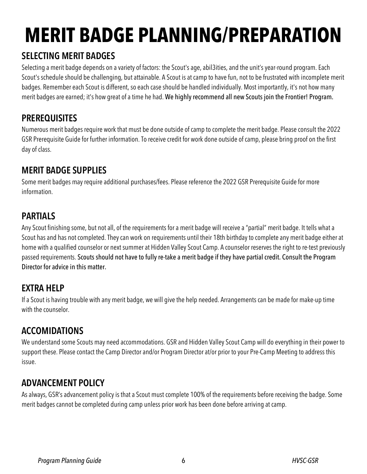# **MERIT BADGE PLANNING/PREPARATION**

## **SELECTING MERIT BADGES**

Selecting a merit badge depends on a variety of factors: the Scout's age, abil3ities, and the unit'syear-round program. Each Scout's schedule should be challenging, but attainable. A Scout is at camp to have fun, not to be frustrated with incomplete merit badges. Remember each Scout is different, so each case should be handled individually. Most importantly, it's not how many merit badges are earned; it's how great of a time he had. We highly recommend all new Scouts join the Frontier! Program.

## **PREREQUISITES**

Numerous merit badges require work that must be done outside of camp to complete the merit badge. Please consult the 2022 GSR Prerequisite Guide for further information. To receive credit for work done outside of camp, please bring proof on the first day of class.

## **MERIT BADGE SUPPLIES**

Some merit badges may require additional purchases/fees. Please reference the 2022 GSR Prerequisite Guide for more information.

## **PARTIALS**

Any Scout finishing some, but not all, of the requirements for a merit badge will receive a "partial" merit badge. It tells what a Scout has and has not completed. Theycan work on requirements until their 18th birthday to complete any merit badge either at home with a qualified counselor or next summer at Hidden Valley Scout Camp. A counselor reserves the right to re-test previously passed requirements. Scouts should not have to fully re-take a merit badge if they have partial credit. Consult the Program Director for advice in this matter.

## **EXTRA HELP**

If a Scout is having trouble with any merit badge, we will give the help needed. Arrangements can be made for make-up time with the counselor.

## **ACCOMIDATIONS**

We understand some Scouts may need accommodations. GSR and Hidden Valley Scout Camp will do everything in their power to support these. Please contact the Camp Director and/or Program Director at/or prior to your Pre-Camp Meeting to address this issue.

## **ADVANCEMENT POLICY**

As always, GSR's advancement policy is that a Scout must complete 100% of the requirements before receiving the badge. Some merit badges cannot be completed during camp unless prior work has been done before arriving at camp.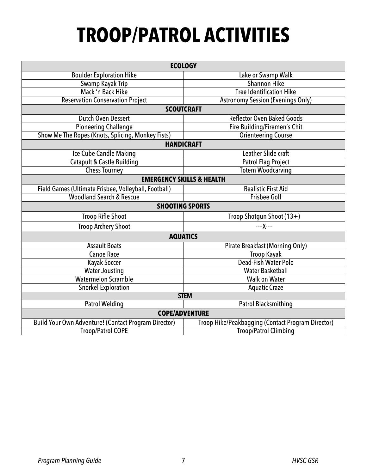# **TROOP/PATROL ACTIVITIES**

|                                                      | <b>ECOLOGY</b>                                    |  |  |  |
|------------------------------------------------------|---------------------------------------------------|--|--|--|
| <b>Boulder Exploration Hike</b>                      | Lake or Swamp Walk                                |  |  |  |
| Swamp Kayak Trip                                     | <b>Shannon Hike</b>                               |  |  |  |
| Mack 'n Back Hike                                    | <b>Tree Identification Hike</b>                   |  |  |  |
| <b>Reservation Conservation Project</b>              | <b>Astronomy Session (Evenings Only)</b>          |  |  |  |
|                                                      | <b>SCOUTCRAFT</b>                                 |  |  |  |
| Dutch Oven Dessert                                   | <b>Reflector Oven Baked Goods</b>                 |  |  |  |
| <b>Pioneering Challenge</b>                          | Fire Building/Firemen's Chit                      |  |  |  |
| Show Me The Ropes (Knots, Splicing, Monkey Fists)    | <b>Orienteering Course</b>                        |  |  |  |
|                                                      | <b>HANDICRAFT</b>                                 |  |  |  |
| Ice Cube Candle Making                               | Leather Slide craft                               |  |  |  |
| Catapult & Castle Building                           | <b>Patrol Flag Project</b>                        |  |  |  |
| <b>Chess Tourney</b>                                 | <b>Totem Woodcarving</b>                          |  |  |  |
| <b>EMERGENCY SKILLS &amp; HEALTH</b>                 |                                                   |  |  |  |
| Field Games (Ultimate Frisbee, Volleyball, Football) | <b>Realistic First Aid</b>                        |  |  |  |
| <b>Woodland Search &amp; Rescue</b>                  | <b>Frisbee Golf</b>                               |  |  |  |
| <b>SHOOTING SPORTS</b>                               |                                                   |  |  |  |
| <b>Troop Rifle Shoot</b>                             | Troop Shotgun Shoot (13+)                         |  |  |  |
| <b>Troop Archery Shoot</b>                           | X                                                 |  |  |  |
| <b>AQUATICS</b>                                      |                                                   |  |  |  |
| <b>Assault Boats</b>                                 | <b>Pirate Breakfast (Morning Only)</b>            |  |  |  |
| <b>Canoe Race</b>                                    | <b>Troop Kayak</b>                                |  |  |  |
| Kayak Soccer                                         | Dead-Fish Water Polo                              |  |  |  |
| <b>Water Jousting</b><br><b>Water Basketball</b>     |                                                   |  |  |  |
| <b>Watermelon Scramble</b><br><b>Walk on Water</b>   |                                                   |  |  |  |
| <b>Snorkel Exploration</b>                           | <b>Aquatic Craze</b>                              |  |  |  |
|                                                      | <b>STEM</b>                                       |  |  |  |
| <b>Patrol Welding</b>                                | <b>Patrol Blacksmithing</b>                       |  |  |  |
|                                                      | <b>COPE/ADVENTURE</b>                             |  |  |  |
| Build Your Own Adventure! (Contact Program Director) | Troop Hike/Peakbagging (Contact Program Director) |  |  |  |
| <b>Troop/Patrol COPE</b>                             | <b>Troop/Patrol Climbing</b>                      |  |  |  |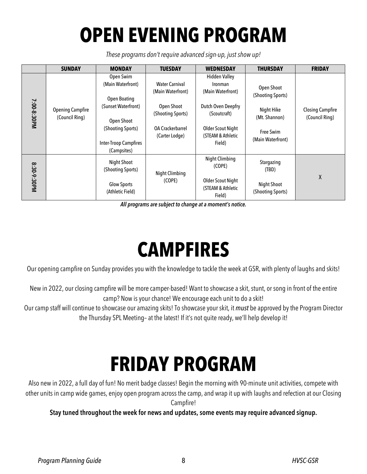# **OPEN EVENING PROGRAM**

*These programs don't require advanced sign-up, just show up!*

|             | <b>SUNDAY</b>                             | <b>MONDAY</b>                                                                                                                                                  | <b>TUESDAY</b>                                                                                                             | <b>WEDNESDAY</b>                                                                                                                               | <b>THURSDAY</b>                                                                                  | <b>FRIDAY</b>                             |
|-------------|-------------------------------------------|----------------------------------------------------------------------------------------------------------------------------------------------------------------|----------------------------------------------------------------------------------------------------------------------------|------------------------------------------------------------------------------------------------------------------------------------------------|--------------------------------------------------------------------------------------------------|-------------------------------------------|
| 7:00-8:30PM | <b>Opening Campfire</b><br>(Council Ring) | Open Swim<br>(Main Waterfront)<br><b>Open Boating</b><br>(Sunset Waterfront)<br>Open Shoot<br>(Shooting Sports)<br><b>Inter-Troop Campfires</b><br>(Campsites) | <b>Water Carnival</b><br>(Main Waterfront)<br><b>Open Shoot</b><br>(Shooting Sports)<br>OA Crackerbarrel<br>(Carter Lodge) | <b>Hidden Valley</b><br>Ironman<br>(Main Waterfront)<br>Dutch Oven Deepfry<br>(Scoutcraft)<br>Older Scout Night<br>(STEAM & Athletic<br>Field) | Open Shoot<br>(Shooting Sports)<br>Night Hike<br>(Mt. Shannon)<br>Free Swim<br>(Main Waterfront) | <b>Closing Campfire</b><br>(Council Ring) |
| 8:30-9:30PM |                                           | Night Shoot<br>(Shooting Sports)<br><b>Glow Sports</b><br>(Athletic Field)                                                                                     | <b>Night Climbing</b><br>(COPE)                                                                                            | <b>Night Climbing</b><br>(COPE)<br>Older Scout Night<br>(STEAM & Athletic<br>Field)                                                            | Stargazing<br>(TBD)<br><b>Night Shoot</b><br>(Shooting Sports)                                   | X                                         |

*All programs are subject to change at a moment's notice.* 

## **CAMPFIRES**

Our opening campfire on Sunday provides you with the knowledge to tackle the week at GSR, with plenty of laughs and skits!

New in 2022, our closing campfire will be more camper-based! Want to showcase a skit, stunt, or song in front of the entire camp? Now is your chance! We encourage each unit to do a skit!

Our camp staff will continue to showcase our amazing skits! To showcase your skit, it *must* be approved by the Program Director the Thursday SPL Meeting– at the latest! If it's not quite ready, we'll help develop it!

# **FRIDAY PROGRAM**

Also new in 2022, a full day of fun! No merit badge classes! Begin the morning with 90-minute unit activities, compete with other units in camp wide games, enjoy open program across the camp, and wrap it up with laughs and refection at our Closing Campfire!

**Stay tuned throughout the week for news and updates, some events may require advanced signup.**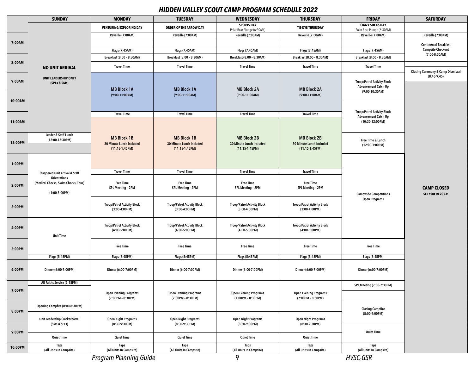#### *HIDDEN VALLEY SCOUT CAMP PROGRAM SCHEDULE 2022*

|         | <b>SUNDAY</b>                                              | <b>MONDAY</b>                                            | <b>TUESDAY</b>                                        | <b>WEDNESDAY</b>                                      | <b>THURSDAY</b>                                       | <b>FRIDAY</b>                                                     | <b>SATURDAY</b>                               |
|---------|------------------------------------------------------------|----------------------------------------------------------|-------------------------------------------------------|-------------------------------------------------------|-------------------------------------------------------|-------------------------------------------------------------------|-----------------------------------------------|
|         |                                                            | <b>VENTURING/EXPLORING DAY</b>                           | ORDER OF THE ARROW DAY                                | <b>SPORTS DAY</b><br>Polar Bear Plunge (6:30AM)       | <b>TIE-DYE THURSDAY</b>                               | <b>CRAZY SOCKS DAY</b><br>Polar Bear Plunge (6:30AM)              |                                               |
|         |                                                            | Reveille (7:00AM)                                        | Reveille (7:00AM)                                     | Reveille (7:00AM)                                     | Reveille (7:00AM)                                     | Reveille (7:00AM)                                                 | Reveille (7:00AM)                             |
| 7:00AM  |                                                            |                                                          |                                                       |                                                       |                                                       |                                                                   | <b>Continental Breakfast</b>                  |
|         |                                                            | Flags (7:45AM)                                           | Flags (7:45AM)                                        | Flags (7:45AM)                                        | Flags (7:45AM)                                        | Flags (7:45AM)                                                    | <b>Campsite Checkout</b>                      |
|         |                                                            | Breakfast (8:00 - 8:30AM)                                | Breakfast (8:00 - 8:30AM)                             | Breakfast (8:00 - 8:30AM)                             | Breakfast (8:00 - 8:30AM)                             | Breakfast (8:00 - 8:30AM)                                         | $(7:00-8:30AM)$                               |
| 8:00AM  | <b>NO UNIT ARRIVAL</b>                                     | <b>Travel Time</b>                                       | <b>Travel Time</b>                                    | <b>Travel Time</b>                                    | <b>Travel Time</b>                                    | <b>Travel Time</b>                                                | <b>Closing Ceremony &amp; Camp Dismissal</b>  |
| 9:00AM  | <b>UNIT LEADERSHIP ONLY</b><br>(SPLs & SMs)                |                                                          |                                                       |                                                       |                                                       | <b>Troop/Patrol Activity Block</b>                                | (8:45.9:45)                                   |
|         |                                                            | <b>MB Block 1A</b><br>$(9:00-11:00AM)$                   | <b>MB Block 1A</b><br>$(9:00-11:00AM)$                | <b>MB Block 2A</b><br>$(9:00-11:00AM)$                | <b>MB Block 2A</b><br>$(9:00-11:00AM)$                | <b>Advancement Catch Up</b><br>$(9:00-10:30AM)$                   |                                               |
| 10:00AM |                                                            |                                                          |                                                       |                                                       |                                                       |                                                                   |                                               |
|         |                                                            | <b>Travel Time</b>                                       | <b>Travel Time</b>                                    | <b>Travel Time</b>                                    | <b>Travel Time</b>                                    | <b>Troop/Patrol Activity Block</b><br><b>Advancement Catch Up</b> |                                               |
| 11:00AM |                                                            |                                                          |                                                       |                                                       |                                                       | $(10:30-12:00PM)$                                                 |                                               |
|         | Leader & Staff Lunch<br>(12:00-12:30PM)                    | <b>MB Block 1B</b>                                       | <b>MB Block 1B</b>                                    | <b>MB Block 2B</b>                                    | <b>MB Block 2B</b>                                    | Free Time & Lunch                                                 |                                               |
| 12:00PM |                                                            | 30 Minute Lunch Included<br>$(11:15-1:45PM)$             | 30 Minute Lunch Included<br>$(11:15-1:45PM)$          | 30 Minute Lunch Included<br>$(11:15-1:45PM)$          | 30 Minute Lunch Included<br>$(11:15-1:45PM)$          | $(12:00-1:00PM)$                                                  |                                               |
| 1:00PM  |                                                            |                                                          |                                                       |                                                       |                                                       |                                                                   |                                               |
|         | <b>Staggered Unit Arrival &amp; Staff</b>                  | <b>Travel Time</b>                                       | <b>Travel Time</b>                                    | <b>Travel Time</b>                                    | <b>Travel Time</b>                                    |                                                                   |                                               |
|         | <b>Orientations</b><br>(Medical Checks, Swim Checks, Tour) | <b>Free Time</b>                                         | <b>Free Time</b>                                      | <b>Free Time</b>                                      | <b>Free Time</b>                                      | <b>Campwide Competitions</b><br><b>Open Programs</b>              |                                               |
| 2:00PM  | $(1:00-3:00PM)$                                            | SPL Meeting - 2PM                                        | SPL Meeting - 2PM                                     | SPL Meeting - 2PM                                     | SPL Meeting - 2PM                                     |                                                                   | <b>CAMP CLOSED</b><br><b>SEE YOU IN 2023!</b> |
| 3:00PM  |                                                            | <b>Troop/Patrol Activity Block</b><br>$(3:00-4:00PM)$    | <b>Troop/Patrol Activity Block</b><br>$(3:00-4:00PM)$ | <b>Troop/Patrol Activity Block</b><br>$(3:00-4:00PM)$ | <b>Troop/Patrol Activity Block</b><br>$(3:00-4:00PM)$ |                                                                   |                                               |
| 4:00PM  | <b>Unit Time</b>                                           | <b>Troop/Patrol Activity Block</b><br>$(4:00-5:00PM)$    | <b>Troop/Patrol Activity Block</b><br>$(4:00-5:00PM)$ | <b>Troop/Patrol Activity Block</b><br>$(4:00-5:00PM)$ | <b>Troop/Patrol Activity Block</b><br>$(4:00-5:00PM)$ |                                                                   |                                               |
| 5:00PM  |                                                            | <b>Free Time</b>                                         | <b>Free Time</b>                                      | <b>Free Time</b>                                      | <b>Free Time</b>                                      | <b>Free Time</b>                                                  |                                               |
|         | Flags (5:45PM)                                             | Flags (5:45PM)                                           | Flags (5:45PM)                                        | Flags (5:45PM)                                        | Flags (5:45PM)                                        | Flags (5:45PM)                                                    |                                               |
| 6:00PM  | Dinner (6:00-7:00PM)                                       | Dinner (6:00-7:00PM)                                     | Dinner (6:00-7:00PM)                                  | Dinner (6:00-7:00PM)                                  | Dinner (6:00-7:00PM)                                  | Dinner (6:00-7:00PM)                                              |                                               |
|         | All Faiths Service (7:15PM)                                |                                                          |                                                       |                                                       |                                                       | SPL Meeting (7:00-7:30PM)                                         |                                               |
| 7:00PM  |                                                            | <b>Open Evening Programs</b><br>$(7:00PM - 8:30PM)$      | <b>Open Evening Programs</b><br>$(7:00PM - 8:30PM)$   | <b>Open Evening Programs</b><br>$(7:00PM - 8:30PM)$   | <b>Open Evening Programs</b><br>$(7:00PM - 8:30PM)$   |                                                                   |                                               |
|         | Opening Campfire (8:00-8:30PM)                             |                                                          |                                                       |                                                       |                                                       | <b>Closing Campfire</b>                                           |                                               |
| 8:00PM  | Unit Leadership Crackerbarrel                              | <b>Open Night Programs</b><br><b>Open Night Programs</b> | <b>Open Night Programs</b>                            | <b>Open Night Programs</b>                            | $(8:00-9:00PM)$                                       |                                                                   |                                               |
|         | (SMs & SPLs)                                               | $(8:30-9:30PM)$                                          | $(8:30-9:30PM)$                                       | $(8:30-9:30PM)$                                       | $(8:30-9:30PM)$                                       |                                                                   |                                               |
| 9:00PM  | <b>Quiet Time</b>                                          | <b>Quiet Time</b>                                        | <b>Quiet Time</b>                                     | <b>Quiet Time</b>                                     | <b>Quiet Time</b>                                     | <b>Quiet Time</b>                                                 |                                               |
| 10:00PM | <b>Taps</b>                                                | Taps                                                     | <b>Taps</b>                                           | Taps                                                  | <b>Taps</b>                                           | <b>Taps</b>                                                       |                                               |
|         | (All Units In Campsite)                                    | (All Units In Campsite)                                  | (All Units In Campsite)                               | (All Units In Campsite)                               | (All Units In Campsite)                               | (All Units In Campsite)                                           |                                               |
|         |                                                            | <b>Program Planning Guide</b>                            |                                                       | 9                                                     |                                                       | <b>HVSC-GSR</b>                                                   |                                               |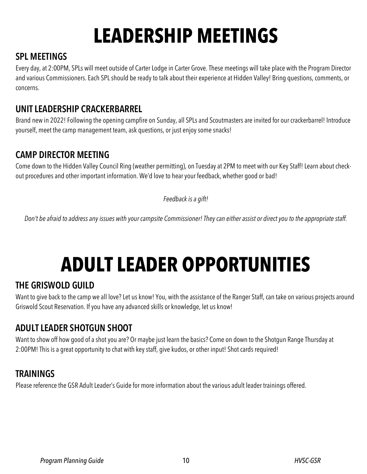# **LEADERSHIP MEETINGS**

## **SPL MEETINGS**

Every day, at 2:00PM, SPLs will meet outside of Carter Lodge in Carter Grove. These meetings will take place with the Program Director and various Commissioners. Each SPL should be ready to talk about their experience at Hidden Valley! Bring questions, comments, or concerns.

### **UNIT LEADERSHIP CRACKERBARREL**

Brand new in 2022! Following the opening campfire on Sunday, all SPLs and Scoutmasters are invited for our crackerbarrel! Introduce yourself, meet the camp management team, ask questions, or just enjoy some snacks!

## **CAMP DIRECTOR MEETING**

Come down to the Hidden Valley Council Ring (weather permitting), on Tuesday at 2PM to meet with our Key Staff! Learn about checkout procedures and other important information. We'd love to hear your feedback, whether good or bad!

*Feedback is a gift!*

*Don't be afraid to address any issues with your campsite Commissioner! They can either assist or direct you to the appropriate staff.*

# **ADULT LEADER OPPORTUNITIES**

### **THE GRISWOLD GUILD**

Want to give back to the camp we all love? Let us know! You, with the assistance of the Ranger Staff, can take on various projects around Griswold Scout Reservation. If you have any advanced skills or knowledge, let us know!

### **ADULT LEADER SHOTGUN SHOOT**

Want to show off how good of a shot you are? Or maybe just learn the basics? Come on down to the Shotgun Range Thursday at 2:00PM! This is a great opportunity to chat with key staff, give kudos, or other input! Shot cards required!

### **TRAININGS**

Please reference the GSR Adult Leader's Guide for more information about the various adult leader trainings offered.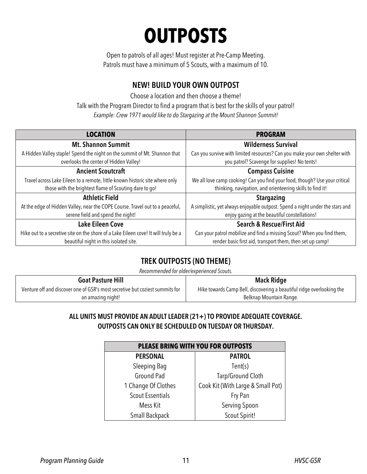## **OUTPOSTS**

Open to patrols of all ages! Must register at Pre-Camp Meeting. Patrols must have a minimum of 5 Scouts, with a maximum of 10.

#### **NEW! BUILD YOUR OWN OUTPOST**

Choose a location and then choose a theme! Talk with the Program Director to find a program that is best for the skills of your patrol! *Example: Crew 1971 would like to do Stargazing at the Mount Shannon Summit!*

| <b>LOCATION</b>                                                                     | <b>PROGRAM</b>                                                                |
|-------------------------------------------------------------------------------------|-------------------------------------------------------------------------------|
| <b>Mt. Shannon Summit</b>                                                           | <b>Wilderness Survival</b>                                                    |
| A Hidden Valley staple! Spend the night on the summit of Mt. Shannon that           | Can you survive with limited resources? Can you make your own shelter with    |
| overlooks the center of Hidden Valley!                                              | you patrol? Scavenge for supplies! No tents!                                  |
| <b>Ancient Scoutcraft</b>                                                           | <b>Compass Cuisine</b>                                                        |
| Travel across Lake Eileen to a remote, little-known historic site where only        | We all love camp cooking! Can you find your food, though? Use your critical   |
| those with the brightest flame of Scouting dare to go!                              | thinking, navigation, and orienteering skills to find it!                     |
| <b>Athletic Field</b>                                                               | <b>Stargazing</b>                                                             |
| At the edge of Hidden Valley, near the COPE Course. Travel out to a peaceful,       | A simplistic, yet always enjoyable outpost. Spend a night under the stars and |
| serene field and spend the night!                                                   | enjoy gazing at the beautiful constellations!                                 |
| <b>Lake Eileen Cove</b>                                                             | <b>Search &amp; Rescue/First Aid</b>                                          |
| Hike out to a secretive site on the shore of a Lake Eileen cove! It will truly be a | Can your patrol mobilize and find a missing Scout? When you find them,        |
| beautiful night in this isolated site.                                              | render basic first aid, transport them, then set up camp!                     |

### **TREK OUTPOSTS (NO THEME)**

*Recommended for older/experienced Scouts.*

| <b>Goat Pasture Hill</b>                                                     | <b>Mack Ridge</b>                                                     |
|------------------------------------------------------------------------------|-----------------------------------------------------------------------|
| Venture off and discover one of GSR's most secretive but coziest summits for | Hike towards Camp Bell, discovering a beautiful ridge overlooking the |
| an amazing night!                                                            | Belknap Mountain Range.                                               |

#### **ALL UNITS MUST PROVIDE AN ADULT LEADER (21+) TO PROVIDE ADEQUATE COVERAGE. OUTPOSTS CAN ONLY BE SCHEDULED ON TUESDAY OR THURSDAY.**

| PLEASE BRING WITH YOU FOR OUTPOSTS |                                   |  |  |
|------------------------------------|-----------------------------------|--|--|
| <b>PERSONAL</b>                    | <b>PATROL</b>                     |  |  |
| Sleeping Bag                       | Tent(s)                           |  |  |
| Ground Pad                         | Tarp/Ground Cloth                 |  |  |
| 1 Change Of Clothes                | Cook Kit (With Large & Small Pot) |  |  |
| <b>Scout Essentials</b>            | Fry Pan                           |  |  |
| Mess Kit                           | Serving Spoon                     |  |  |
| Small Backpack                     | Scout Spirit!                     |  |  |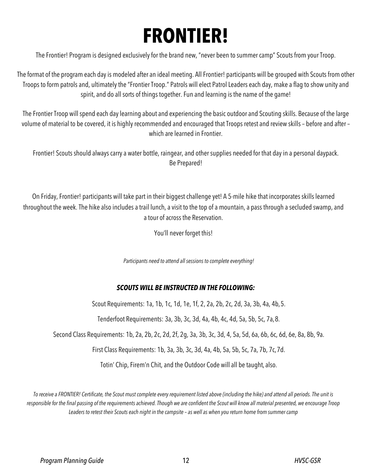## **FRONTIER!**

The Frontier! Program is designed exclusively for the brand new, "never been to summer camp" Scouts from your Troop.

The format of the program each day is modeled after an ideal meeting. All Frontier! participants will be grouped with Scouts from other Troops to form patrols and, ultimately the "Frontier Troop." Patrols will elect Patrol Leaders each day, make a flag to show unity and spirit, and do all sorts of things together. Fun and learning is the name of the game!

The Frontier Troop will spend each day learning about and experiencing the basic outdoor and Scouting skills. Because of the large volume of material to be covered, it is highly recommended and encouraged that Troops retest and review skills – before and after – which are learned in Frontier.

Frontier! Scouts should always carry a water bottle, raingear, and other supplies needed for that day in a personal daypack. Be Prepared!

On Friday, Frontier! participants will take part in their biggest challenge yet! A 5-mile hike that incorporates skills learned throughout the week. The hike also includes a trail lunch, a visit to the top of a mountain, a pass through a secluded swamp, and a tour of across the Reservation.

You'll never forget this!

*Participants need to attend all sessions to complete everything!*

#### *SCOUTS WILL BE INSTRUCTED IN THE FOLLOWING:*

Scout Requirements: 1a, 1b, 1c, 1d, 1e, 1f, 2, 2a, 2b, 2c, 2d, 3a, 3b, 4a, 4b,5.

Tenderfoot Requirements: 3a, 3b, 3c, 3d, 4a, 4b, 4c, 4d, 5a, 5b, 5c, 7a,8.

Second Class Requirements: 1b, 2a, 2b, 2c, 2d, 2f, 2g, 3a, 3b, 3c, 3d, 4, 5a, 5d, 6a, 6b, 6c, 6d, 6e, 8a, 8b, 9a.

First Class Requirements: 1b, 3a, 3b, 3c, 3d, 4a, 4b, 5a, 5b, 5c, 7a, 7b, 7c,7d.

Totin' Chip, Firem'n Chit, and the Outdoor Code will all be taught, also.

*To receive a FRONTIER! Certificate, the Scout must complete every requirement listed above (including the hike) and attend all periods. The unit is*  responsible for the final passing of the requirements achieved. Though we are confident the Scout will know all material presented, we encourage Troop *Leaders to retest their Scouts each night in the campsite – as well as when you return home from summer camp*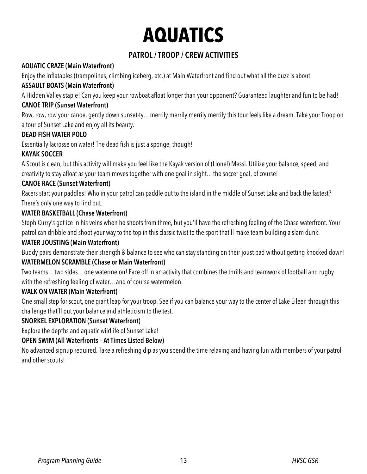## **AQUATICS**

### **PATROL / TROOP / CREW ACTIVITIES**

#### **AQUATIC CRAZE (Main Waterfront)**

Enjoy the inflatables (trampolines, climbing iceberg, etc.) at Main Waterfront and find out what all the buzz is about.

#### **ASSAULT BOATS (Main Waterfront)**

A Hidden Valley staple! Can you keep your rowboat afloat longer than your opponent? Guaranteed laughter and fun to be had! **CANOE TRIP (Sunset Waterfront)**

Row, row, row your canoe, gently down sunset-ty…merrily merrily merrily merrily this tour feels like a dream. Take your Troop on a tour of Sunset Lake and enjoy all its beauty.

#### **DEAD FISH WATER POLO**

Essentially lacrosse on water! The dead fish is just a sponge, though!

#### **KAYAK SOCCER**

A Scout is clean, but this activity will make you feel like the Kayak version of (Lionel) Messi. Utilize your balance, speed, and creativity to stay afloat as your team moves together with one goal in sight…the soccer goal, of course!

#### **CANOE RACE (Sunset Waterfront)**

Racers start your paddles! Who in your patrol can paddle out to the island in the middle of Sunset Lake and back the fastest? There's only one way to find out.

#### **WATER BASKETBALL (Chase Waterfront)**

Steph Curry's got ice in his veins when he shoots from three, but you'll have the refreshing feeling of the Chase waterfront. Your patrol can dribble and shoot your way to the top in this classic twist to the sport that'll make team building a slam dunk.

#### **WATER JOUSTING (Main Waterfront)**

Buddy pairs demonstrate their strength & balance to see who can stay standing on their joust pad without getting knocked down!

#### **WATERMELON SCRAMBLE (Chase or Main Waterfront)**

Two teams…two sides…one watermelon! Face off in an activity that combines the thrills and teamwork of football and rugby with the refreshing feeling of water…and of course watermelon.

#### **WALK ON WATER (Main Waterfront)**

One small step for scout, one giant leap for your troop. See if you can balance your way to the center of Lake Eileen through this challenge that'll put your balance and athleticism to the test.

#### **SNORKEL EXPLORATION (Sunset Waterfront)**

Explore the depths and aquatic wildlife of Sunset Lake!

#### **OPEN SWIM (All Waterfronts – At Times Listed Below)**

No advanced signup required. Take a refreshing dip as you spend the time relaxing and having fun with members of your patrol and other scouts!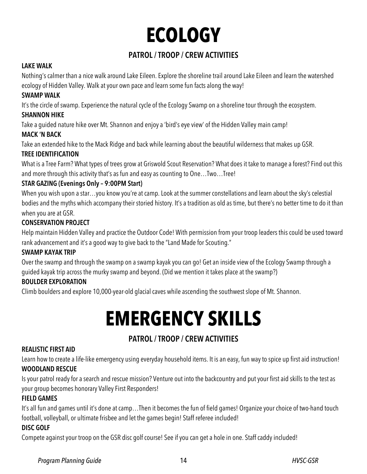# **ECOLOGY**

### **PATROL / TROOP / CREW ACTIVITIES**

#### **LAKE WALK**

Nothing's calmer than a nice walk around Lake Eileen. Explore the shoreline trail around Lake Eileen and learn the watershed ecology of Hidden Valley. Walk at your own pace and learn some fun facts along the way!

#### **SWAMP WALK**

It's the circle of swamp. Experience the natural cycle of the Ecology Swamp on a shoreline tour through the ecosystem.

#### **SHANNON HIKE**

Take a guided nature hike over Mt. Shannon and enjoy a 'bird's eye view' of the Hidden Valley main camp!

#### **MACK 'N BACK**

Take an extended hike to the Mack Ridge and back while learning about the beautiful wilderness that makes up GSR.

#### **TREE IDENTIFICATION**

What is a Tree Farm? What types of trees grow at Griswold Scout Reservation? What does it take to manage a forest? Find out this and more through this activity that's as fun and easy as counting to One…Two…Tree!

#### **STAR GAZING (Evenings Only – 9:00PM Start)**

When you wish upon a star…you know you're at camp. Look at the summer constellations and learn about the sky's celestial bodies and the myths which accompany their storied history. It's a tradition as old as time, but there's no better time to do it than when you are at GSR.

#### **CONSERVATION PROJECT**

Help maintain Hidden Valley and practice the Outdoor Code! With permission from your troop leaders this could be used toward rank advancement and it's a good way to give back to the "Land Made for Scouting."

#### **SWAMP KAYAK TRIP**

Over the swamp and through the swamp on a swamp kayak you can go! Get an inside view of the Ecology Swamp through a guided kayak trip across the murky swamp and beyond. (Did we mention it takes place at the swamp?)

#### **BOULDER EXPLORATION**

Climb boulders and explore 10,000-year-old glacial caves while ascending the southwest slope of Mt. Shannon.

## **EMERGENCY SKILLS**

### **PATROL / TROOP / CREW ACTIVITIES**

#### **REALISTIC FIRST AID**

Learn how to create a life-like emergency using everyday household items. It is an easy, fun way to spice up first aid instruction! **WOODLAND RESCUE**

Is your patrol ready for a search and rescue mission? Venture out into the backcountry and put your first aid skills to the test as your group becomes honorary Valley First Responders!

#### **FIELD GAMES**

It's all fun and games until it's done at camp…Then it becomes the fun of field games! Organize your choice of two-hand touch football, volleyball, or ultimate frisbee and let the games begin! Staff referee included!

#### **DISC GOLF**

Compete against your troop on the GSR disc golf course! See if you can get a hole in one. Staff caddy included!

#### *Program Planning Guide* 14 *HVSC-GSR*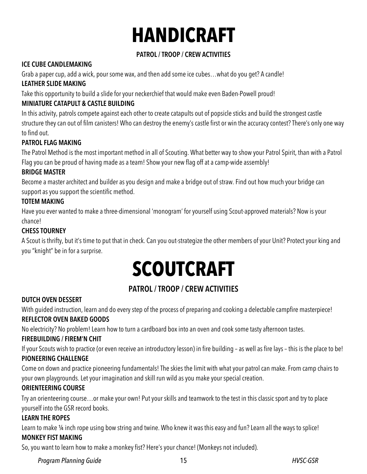# **HANDICRAFT**

#### **PATROL / TROOP / CREW ACTIVITIES**

#### **ICE CUBE CANDLEMAKING**

Grab a paper cup, add a wick, pour some wax, and then add some ice cubes…what do you get? A candle!

#### **LEATHER SLIDE MAKING**

Take this opportunity to build a slide for your neckerchief that would make even Baden-Powell proud!

#### **MINIATURE CATAPULT & CASTLE BUILDING**

In this activity, patrols compete against each other to create catapults out of popsicle sticks and build the strongest castle structure they can out of film canisters! Who can destroy the enemy's castle first or win the accuracy contest? There's only one way to find out.

#### **PATROL FLAG MAKING**

The Patrol Method is the most important method in all of Scouting. What better way to show your Patrol Spirit, than with a Patrol Flag you can be proud of having made as a team! Show your new flag off at a camp-wide assembly!

#### **BRIDGE MASTER**

Become a master architect and builder as you design and make a bridge out of straw. Find out how much your bridge can support as you support the scientific method.

#### **TOTEM MAKING**

Have you ever wanted to make a three-dimensional 'monogram' for yourself using Scout-approved materials? Now is your chance!

#### **CHESS TOURNEY**

A Scout is thrifty, but it's time to put that in check. Can you out-strategize the other members of your Unit? Protect your king and you "knight" be in for a surprise.

# **SCOUTCRAFT**

### **PATROL / TROOP / CREW ACTIVITIES**

#### **DUTCH OVEN DESSERT**

With guided instruction, learn and do every step of the process of preparing and cooking a delectable campfire masterpiece! **REFLECTOR OVEN BAKED GOODS**

No electricity? No problem! Learn how to turn a cardboard box into an oven and cook some tasty afternoon tastes.

#### **FIREBUILDING / FIREM'N CHIT**

If your Scouts wish to practice (or even receive an introductory lesson) in fire building – as well as fire lays – this is the place to be! **PIONEERING CHALLENGE**

Come on down and practice pioneering fundamentals! The skies the limit with what your patrol can make. From camp chairs to your own playgrounds. Let your imagination and skill run wild as you make your special creation.

#### **ORIENTEERING COURSE**

Try an orienteering course…or make your own! Putyour skills and teamwork to the test in this classic sport and try to place yourself into the GSR record books.

#### **LEARN THE ROPES**

Learn to make 1/4 inch rope using bow string and twine. Who knew it was this easy and fun? Learn all the ways to splice! **MONKEY FIST MAKING**

So, you want to learn how to make a monkey fist? Here's your chance! (Monkeys not included).

*Program Planning Guide* 15 *HVSC-GSR*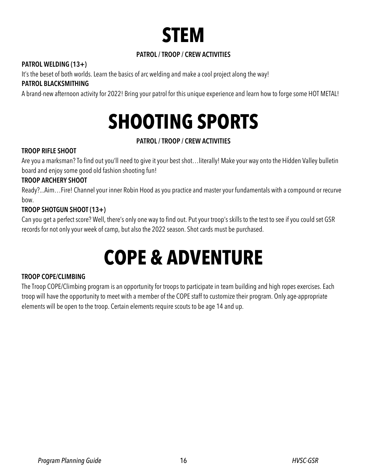

#### **PATROL / TROOP / CREW ACTIVITIES**

#### **PATROL WELDING (13+)**

It's the beset of both worlds. Learn the basics of arc welding and make a cool project along the way!

#### **PATROL BLACKSMITHING**

A brand-new afternoon activity for 2022! Bring your patrol for this unique experience and learn how to forge some HOT METAL!

## **SHOOTING SPORTS**

#### **PATROL / TROOP / CREW ACTIVITIES**

#### **TROOP RIFLE SHOOT**

Are you a marksman? To find out you'll need to give it your best shot…literally! Make your way onto the Hidden Valley bulletin board and enjoy some good old fashion shooting fun!

#### **TROOP ARCHERY SHOOT**

Ready?...Aim…Fire! Channel your inner Robin Hood as you practice and master your fundamentals with a compound or recurve bow.

#### **TROOP SHOTGUN SHOOT (13+)**

Can you get a perfect score? Well, there's only one way to find out. Put your troop's skills to the test to see if you could set GSR records for not only your week of camp, but also the 2022 season. Shot cards must be purchased.

## **COPE & ADVENTURE**

#### **TROOP COPE/CLIMBING**

The Troop COPE/Climbing program is an opportunity for troops to participate in team building and high ropes exercises. Each troop will have the opportunity to meet with a member of the COPE staff to customize their program. Only age-appropriate elements will be open to the troop. Certain elements require scouts to be age 14 and up.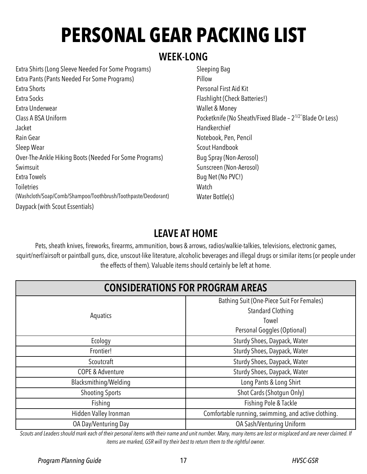# **PERSONAL GEAR PACKING LIST**

### **WEEK-LONG**

Extra Shirts (Long Sleeve Needed For Some Programs) Extra Pants (Pants Needed For Some Programs) Extra Shorts Extra Socks Extra Underwear Class A BSA Uniform Jacket Rain Gear Sleep Wear Over-The-Ankle Hiking Boots (Needed For Some Programs) Swimsuit Extra Towels **Toiletries** (Washcloth/Soap/Comb/Shampoo/Toothbrush/Toothpaste/Deodorant) Daypack (with Scout Essentials)

Sleeping Bag Pillow Personal First Aid Kit Flashlight (Check Batteries!) Wallet & Money Pocketknife (No Sheath/Fixed Blade – 21/2''Blade Or Less) **Handkerchief** Notebook, Pen, Pencil Scout Handbook Bug Spray (Non-Aerosol) Sunscreen (Non-Aerosol) Bug Net (No PVC!) **Watch** Water Bottle(s)

## **LEAVE AT HOME**

Pets, sheath knives, fireworks, firearms, ammunition, bows & arrows, radios/walkie-talkies, televisions, electronic games, squirt/nerf/airsoft or paintball guns, dice, unscout-like literature, alcoholic beverages and illegal drugs or similar items (or people under the effects of them). Valuable items should certainly be left at home.

| <b>CONSIDERATIONS FOR PROGRAM AREAS</b> |                                                     |  |  |
|-----------------------------------------|-----------------------------------------------------|--|--|
|                                         | Bathing Suit (One-Piece Suit For Females)           |  |  |
|                                         | <b>Standard Clothing</b>                            |  |  |
| Aquatics                                | Towel                                               |  |  |
|                                         | Personal Goggles (Optional)                         |  |  |
| Ecology                                 | Sturdy Shoes, Daypack, Water                        |  |  |
| Frontier!                               | Sturdy Shoes, Daypack, Water                        |  |  |
| Scoutcraft                              | Sturdy Shoes, Daypack, Water                        |  |  |
| <b>COPE &amp; Adventure</b>             | Sturdy Shoes, Daypack, Water                        |  |  |
| Blacksmithing/Welding                   | Long Pants & Long Shirt                             |  |  |
| <b>Shooting Sports</b>                  | Shot Cards (Shotgun Only)                           |  |  |
| Fishing                                 | Fishing Pole & Tackle                               |  |  |
| Hidden Valley Ironman                   | Comfortable running, swimming, and active clothing. |  |  |
| OA Day/Venturing Day                    | OA Sash/Venturing Uniform                           |  |  |

*Scouts and Leaders should mark each of their personal items with their name and unit number. Many, many items are lost or misplaced and are never claimed. If items are marked, GSR will try their best to return them to the rightful owner.*